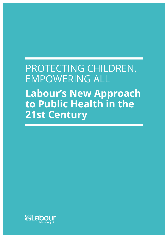# PROTECTING CHILDREN, EMPOWERING ALL **Labour's New Approach to Public Health in the 21st Century**

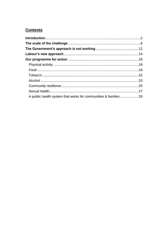# **Contents**

| A public health system that works for communities & families 29 |  |
|-----------------------------------------------------------------|--|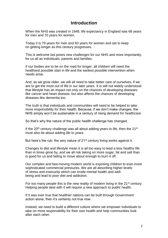# **Introduction**

<span id="page-2-0"></span>When the NHS was created in 1948, life expectancy in England was 66 years for men and 70 years for women.

Today it is 79 years for men and 83 years for women and set to keep on getting longer as this century progresses.

This is welcome but poses new challenges for our NHS and more importantly, for us all as individuals, parents and families.

If our bodies are to be on the road for longer, all children will need the healthiest possible start in life and the earliest possible intervention when needs arise.

And, as we grow older, we will all need to take better care of ourselves, if we are to get the most out of life in our later years. It is still not widely understood that lifestyle has an impact not only on the chances of developing diseases like cancer and heart disease, but also affects the chances of developing diseases like dementia too.

The truth is that individuals and communities will need to be helped to take more responsibility for their health. Because, if we don't make changes, the NHS simply won't be sustainable in a century of rising demand for healthcare.

So that's why the nature of the public health challenge has changed.

If the  $20<sup>th</sup>$  century challenge was all about adding years to life, then the  $21<sup>st</sup>$ must also be about adding life to years.

But here's the rub: the very nature of 21<sup>st</sup> century living works against it.

Changes to diet and lifestyle mean it is all too easy to lead a less healthy life than in times gone by, and we all risk taking on more sugar, fat and salt than is good for us and failing to move about enough to burn it off.

Our complex and fast-moving modern world is exposing children to ever-more sophisticated commercial pressures. We are all absorbing higher levels of stress and insecurity which can erode mental health and wellbeing and lead to poor diet and addiction.

For too many people this is the new reality of modern living in the 21<sup>st</sup> century. Helping people deal with it will require a new approach to public health.

If it was ever true that healthier nations can be built through Government action alone, then it's certainly not true now.

Instead, we need to build a different culture where we empower individuals to take on more responsibility for their own health and help communities look after each other.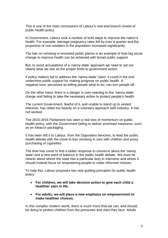This is one of the main conclusions of Labour's root-and-branch review of public health policy.

In Government, Labour took a number of bold steps to improve the nation's health. For example, teenage pregnancy rates fell by over a quarter and the proportion of non-smokers in the population increased significantly.

The ban on smoking in enclosed public places is an example of how big social change to improve health can be achieved with broad public support.

But, to avoid accusations of a 'nanny state' approach we need to set out clearly what we see as the proper limits to government action.

If policy makers fail to address the 'nanny-state' claim, it could in the end undermine public support for making progress on public health. A negative tone, perceived as telling people what to do, can turn people off.

On the other hand, there is a danger in over-reacting to the 'nanny-state' charge and failing to take the necessary action to protect people's health.

The current Government, fearful of it, and unable to stand up to vested interests, has relied too heavily on a voluntary approach with industry. It has not worked.

The 2010-2015 Parliament has seen a real loss of momentum on public health policy, with the Government failing to deliver promised measures, such as on tobacco packaging.

It has been left it to Labour, from the Opposition benches, to lead the public health debate with the move to ban smoking in cars with children and proxy purchasing of cigarettes.

The time has come to find a better response to concerns about the 'nanny state' and a new point of balance in the public health debate. We must be clearer about where the state has a particular duty to intervene and where it should instead focus on empowering people to make informed choices.

To help this, Labour proposes two new guiding principles for public health policy:

- **For children, we will take decisive action to give each child a healthier start in life.**
- **For adults, we will place a new emphasis on empowerment to make healthier choices.**

In this complex modern world, there is much more that we can, and should, be doing to protect children from the pressures and risks they face. Adults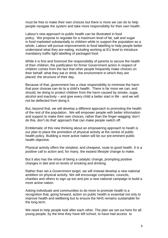must be free to make their own choices but there is more we can do to help people navigate the system and take more responsibility for their own health.

Labour's new approach to public health can be illustrated in food policy. We propose to regulate for a maximum level of fat, salt and sugar in food marketed substantially to children while to support the population as a whole, Labour will pursue improvements to food labelling to help people better understand what they are eating, including working at EU level to introduce mandatory traffic light labelling of packaged food.

While it is first and foremost the responsibility of parents to secure the health of their children, the justification for firmer Government action in respect of children comes from the fact that other people frequently make choices on their behalf: what they eat or drink; the environment in which they are placed; the structure of their day.

Because of that, government has a clear responsibility to minimise the harm that poor choices can do to a child's health. There is far more we can, and should, be doing to protect children from the harm caused by smoke, sugar, alcohol and inactivity – and give every child a better start in life - and we will not be deflected from doing it.

But, beyond that, we will develop a different approach to promoting the health of the rest of the population. We will empower people with better information and support to make their own choices, rather than the finger-wagging 'don't do this, don't do that' approach that can make people switch off.

Emblematic of this new thinking about an empowering approach to heath is our plan to place the promotion of physical activity at the centre of public health policy. Building a more active nation will be our pre-eminent public health objective.

Physical activity offers the simplest, and cheapest, route to good health. It is a positive call to action and, for many, the easiest lifestyle change to make.

But it also has the virtue of being a catalytic change, prompting positive changes in diet and on levels of smoking and drinking.

Rather than set a Government target, we will instead develop a new national ambition on physical activity. We will encourage companies, councils, charities and others to sign up too and join a new national campaign to build a more active nation.

Asking individuals and communities to do more to promote health is a recognition that, going forward, action on public health is essential not only to improve health and wellbeing but to ensure the NHS remains sustainable for the long term.

We need to help people look after each other. The plan we set out here for all young people, by the time they have left school, to have had access to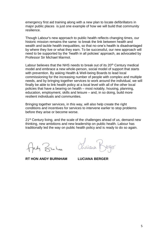emergency first aid training along with a new plan to locate defibrillators in major public places is just one example of how we will build that community resilience.

Though Labour's new approach to public health reflects changing times, our historic mission remains the same: to break the link between health and wealth and tackle health inequalities, so that no-one's health is disadvantaged by where they live or what they earn. To be successful, our new approach will need to be supported by the 'health in all policies' approach, as advocated by Professor Sir Michael Marmot.

Labour believes that the NHS needs to break out of its 20<sup>th</sup> Century medical model and embrace a new whole-person, social model of support that starts with prevention. By asking Health & Well-being Boards to lead local commissioning for the increasing number of people with complex and multiple needs, and by bringing together services to work around the individual, we will finally be able to link health policy at a local level with all of the other local policies that have a bearing on health – most notably, housing, planning, education, employment, skills and leisure – and, in so doing, build more resilient individuals and communities.

Bringing together services, in this way, will also help create the right conditions and incentives for services to intervene earlier to stop problems before they arise or become worse.

21<sup>st</sup> Century living, and the scale of the challenges ahead of us, demand new thinking, new ambitions and new leadership on public health. Labour has traditionally led the way on public health policy and is ready to do so again.

dy Kunhan

**RT HON ANDY BURNHAM LUCIANA BERGER**

Olviara F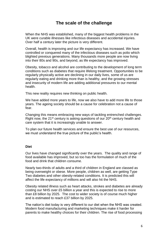# **The scale of the challenge**

<span id="page-6-0"></span>When the NHS was established, many of the biggest health problems in the UK were curable illnesses like infectious diseases and accidental injuries. Over half a century later the picture is very different.

Overall, health is improving and our life expectancy has increased. We have controlled or conquered many of the infectious diseases such as polio which blighted previous generations. Many thousands more people are now living into their 80s and 90s, and beyond, as life expectancy has improved.

Obesity, tobacco and alcohol are contributing to the development of long term conditions such as diabetes that require lifelong treatment. Opportunities to be regularly physically active are declining in our daily lives, some of us are regularly eating and drinking more than is healthy, and the growing stresses and insecurity of modern life are adding additional pressures to our mental health.

This new reality requires new thinking on public health.

We have added more years to life, now we also have to add more life to those years. The ageing society should be a cause for celebration not a cause of fear.

Changing this means embracing new ways of tackling entrenched challenges. Right now, the 21<sup>st</sup> century is asking questions of our  $20<sup>th</sup>$  century health and care system that it is increasingly unable to answer.

To plan our future health services and ensure the best use of our resources, we must understand the true picture of the public's health.

#### **Diet**

Our lives have changed significantly over the years. The quality and range of food available has improved, but so too has the formulation of much of the food and drink that children consume.

Nearly two-thirds of adults and a third of children in England are classed as being overweight or obese. More people, children as well, are getting Type Two diabetes and other obesity-related conditions. It is predicted this will affect the life expectancy of millions and will also hit the NHS.

Obesity related illness such as heart attacks, strokes and diabetes are already costing our NHS over £5 billion a year and this is expected to rise to more than £8 billion by 2025. The cost to wider society is of course much higher and is estimated to reach £37 billion by 2025.

The nation's diet today is very different to our diet when the NHS was created. Modern food manufacturing and marketing techniques make it harder for parents to make healthy choices for their children. The rise of food processing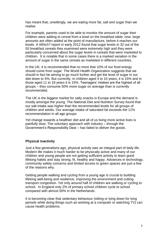has meant that, unwittingly, we are eating more fat, salt and sugar than we realise.

For example, parents used to be able to monitor the amount of sugar their children were adding to cereal from a bowl on the breakfast table; now, large amounts are often added at the point of manufacture, before it reaches our bowls. A *Which?* report in early 2012 found that sugar levels in 32 out of the 50 breakfast cereals they examined were extremely high and they were particularly concerned about the sugar levels in cereals that were marketed to children. It is notable that in some cases there is a marked variation in the amount of sugar in the same cereals as marketed in different countries.

In the UK, it is recommended that no more that 10% of our food energy should come from sugar. The World Health Organization suggests that we should in fact be aiming to go much further and get the level of sugar in our diet down to 5%. But currently, in children aged 4 to 10 years, it is 15% and in those aged 11 to 18 years it is 15%. Teenagers' intakes are the highest of all groups – they consume 50% more sugar on average than is currently recommended.

The UK is the biggest market for salty snacks in Europe and the demand is mostly amongst the young. The National Diet and Nutrition Survey found that our salt intake was higher than [the recommended levels](http://www.nhs.uk/livewell/goodfood/pages/salt.aspx) for all groups of children and adults. Our average intake of saturated fat exceeds the 11% recommendation in all age groups.

Yet change towards a healthier diet and all of us living more active lives is painfully slow. The voluntary approach with industry – through the Government's Responsibility Deal – has failed to deliver the goods.

#### **Physical inactivity**

Just a few generations ago, physical activity was an integral part of daily life. Modern life makes it much harder to be physically active and many of our children and young people are not getting sufficient activity to learn good lifelong habits and stay strong, fit, healthy and happy. Advances in technology, community safety concerns and limited access to green spaces are just a few of the reasons why.

Getting people walking and cycling from a young age is crucial to building lifelong well-being and resilience, improving the environment and cutting transport congestion. Yet only around half of children are walking or cycling to school. In England only 2% of primary school children cycle to school compared with almost 50% in the Netherlands.

It is becoming clear that sedentary behaviour (sitting or lying down for long periods while doing things such as working at a computer or watching TV) can cause health problems.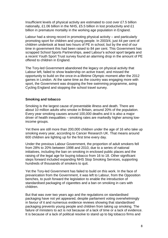Insufficient levels of physical activity are estimated to cost over £7.5 billion nationally, £1.06 billion in the NHS, £5.5 billion in lost productivity and £1 billion in premature mortality in the working age population in England.

Labour had a strong record in promoting physical activity – and particularly promoting sport for children and young people. In 2003/4, just 44 per cent of children undertook at least two hours of PE in school, but by the end of our time in government this had been raised to 84 per cent. This Government has scrapped School Sports Partnerships, axed Labour's school sport targets and a recent Youth Sport Trust survey found an alarming drop in the amount of PE offered to children in England.

The Tory-led Government abandoned the legacy on physical activity that Labour left, failed to show leadership on active travel, and missed the opportunity to build on the once-in-a-lifetime Olympic moment after the 2012 games in London. At the same time as the country was engaging more with sport, the Government was dropping the free swimming programme, axing Cycling England and stopping the school travel survey.

#### **Smoking and tobacco**

Smoking is the largest cause of preventable illness and death. There are about 10 million adults who smoke in Britain, around 20% of the population. Every year smoking causes around 100,000 deaths and it is also a major driver of health inequalities – smoking rates are markedly higher among lowincome groups.

Yet there are still more than 200,000 children under the age of 16 who take up smoking every year, according to Cancer Research UK. That means around 600 children are lighting up for the first time every day.

Under the previous Labour Government, the proportion of adult smokers fell from 28% to 20% between 1998 and 2010, due to a series of national initiatives, including the ban on smoking in enclosed public places and the raising of the legal age for buying tobacco from 16 to 18. Other significant steps forward included expanding NHS Stop Smoking Services, supporting hundreds of thousands of smokers to quit.

Yet the Tory-led Government has failed to build on this work. In the face of prevarication from the Government, it was left to Labour, from the Opposition benches, to push forward the legislation to enable the introduction of standardised packaging of cigarettes and a ban on smoking in cars with children.

But that was over two years ago and the regulations on standardised packaging have not yet appeared, despite parliament voting overwhelmingly in favour of it and numerous evidence reviews showing that standardised packaging prevents young people and children from taking up smoking. The failure of ministers to act is not because of a lack of time or a lack of evidence. It is because of a lack of political resolve to stand up to big tobacco firms and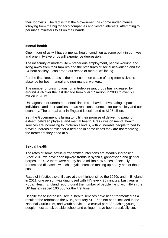their lobbyists. The fact is that the Government has come under intense lobbying from the big tobacco companies and vested interests, attempting to persuade ministers to sit on their hands.

#### **Mental health**

One in four of us will have a mental health condition at some point in our lives and one in twelve of us will experience depression.

The insecurity of modern life – precarious employment, people working and living away from their families and the pressures of social networking and the 24-hour society – can erode our sense of mental wellbeing.

For the first time, stress is the most common cause of long-term sickness absence for both manual and non-manual workers.

The number of prescriptions for anti-depressant drugs has increased by around 93% over the last decade from over 27 million in 2003 to over 53 million in 2013.

Undiagnosed or untreated mental illness can have a devastating impact on individuals and their families. It has real consequences for our society and our economy. The annual cost in England is estimated at £105 billion.

Yet, the Government is failing to fulfil their promise of delivering parity of esteem between physical and mental health. Pressures on mental health services are increasing to intolerable levels, with vulnerable people forced to travel hundreds of miles for a bed and in some cases they are not receiving the treatment they need at all.

#### **Sexual health**

The rates of some sexually transmitted infections are steadily increasing. Since 2010 we have seen upward trends in syphilis, gonorrhoea and genital herpes. In 2012 there were nearly half a million new cases of sexually transmitted diseases, with chlamydia infection making up nearly half of those cases.

Rates of infectious syphilis are at their highest since the 1950s and in England in 2011, one person was diagnosed with HIV every 90 minutes. Last year a Public Health England report found the number of people living with HIV in the UK has exceeded 100,000 for the first time.

Despite these increases, sexual health services have been fragmented as a result of the reforms to the NHS, statutory SRE has not been included in the National Curriculum, and youth services - a crucial part of reaching young people most at risk outside school and college - have been drastically cut.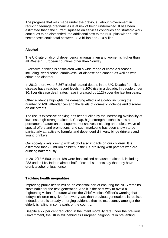The progress that was made under the previous Labour Government in reducing teenage pregnancies is at risk of being undermined. It has been estimated that if the current squeeze on services continues and strategic work continues to be dismantled, the additional cost to the NHS plus wider public sector costs could total between £8.3 billion and £10 billion.

#### **Alcohol**

The UK rate of alcohol dependency amongst men and women is higher than all Western European countries other than Norway.

Excessive drinking is associated with a wide range of chronic diseases including liver disease, cardiovascular disease and cancer, as well as with crime and disorder.

In 2012, there were 8,367 alcohol related deaths in the UK. Deaths from liver disease have reached record levels – a 20% rise in a decade. In people under 30, liver disease death rates have increased by 112% over the last ten years.

Other evidence highlights the damaging effects of alcohol including the number of A&E attendances and the levels of domestic violence and disorder on our streets.

The rise is excessive drinking has been fuelled by the increasing availability of low-cost, high-strength alcohol. Cheap, high-strength alcohol is now a permanent feature on the supermarket shelves including an endless wave of special offers and promotions, and such marketing has been shown to be particularly attractive to harmful and dependent drinkers, binge drinkers and young drinkers.

Our society's relationship with alcohol also impacts on our children. It is estimated that 2.6 million children in the UK are living with parents who are drinking hazardously.

In 2012/13 6,500 under 18s were hospitalised because of alcohol, including 283 under 11s. Indeed almost half of school students say that they have drunk alcohol at least once.

#### **Tackling health inequalities**

Improving public health will be an essential part of ensuring the NHS remains sustainable for the next generation. And it is the best way to avoid a frightening vision of a future where the Chief Medical Officer's warning that today's children may live for fewer years than previous generations is realised. Indeed, there is already emerging evidence that life expectancy amongst the elderly is falling in some parts of the country.

Despite a 27 per cent reduction in the infant mortality rate under the previous Government, the UK is still behind its European neighbours in preventing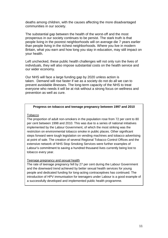deaths among children, with the causes affecting the more disadvantaged communities in our society.

The substantial gap between the health of the worst-off and the most prosperous in our society continues to be persist. The stark truth is that people living in the poorest neighborhoods will on average die 7 years earlier than people living in the richest neighborhoods. Where you live in modern Britain, what you earn and how long you stay in education, may still impact on your health.

Left unchecked, these public health challenges will not only ruin the lives of individuals, they will also impose substantial costs on the health service and our wider economy.

Our NHS will face a large funding gap by 2020 unless action is taken. Demand will rise faster if we as a society do not do all we can to prevent avoidable illnesses. The long-term capacity of the NHS to treat everyone who needs it will be at risk without a strong focus on wellness and prevention as well as cure.

#### **Progress on tobacco and teenage pregnancy between 1997 and 2010**

#### Tobacco

The proportion of adult non-smokers in the population rose from 72 per cent to 80 per cent between 1998 and 2010. This was due to a series of national initiatives implemented by the Labour Government, of which the most striking was the restriction on environmental tobacco smoke in public places. Other significant steps forward were tough legislation on vending machines and tobacco advertising at point of sale. The creation of several Regional Tobacco Control Offices and the extensive network of NHS Stop Smoking Services were further examples of Labour's commitment to saving a hundred thousand lives currently being lost to tobacco every year.

#### Teenage pregnancy and sexual health

The rate of teenage pregnancy fell by 27 per cent during the Labour Government and the downward trend achieved by better sexual health services for young people and dedicated funding for long-acting contraceptives has continued. The introduction of HPV immunisation for teenagers under Labour is a good example of a successfully developed and implemented public health programme.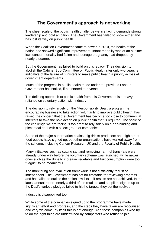# **The Government's approach is not working**

<span id="page-12-0"></span>The sheer scale of the public health challenge we are facing demands strong leadership and bold ambition. The Government has failed to show either and has lost its way on public health.

When the Coalition Government came to power in 2010, the health of the nation had showed significant improvement. Infant mortality was at an all-time low, cancer mortality had fallen and teenage pregnancy had dropped by nearly a quarter.

But the Government has failed to build on this legacy. Their decision to abolish the Cabinet Sub-Committee on Public Health after only two years is indicative of the failure of ministers to make public health a priority across all government departments.

Much of the progress in public health made under the previous Labour Government has stalled, if not started to reverse.

The defining approach to public health from this Government is a heavy reliance on voluntary action with industry.

The decision to rely largely on the 'Responsibility Deal', a programme encouraging business to take action voluntarily to improve public health, has raised the concern that the Government has become too close to commercial interests to take the bold action on public health that is required. The scale of the challenge we are facing is too great to rely solely on a non-binding and piecemeal deal with a select group of companies.

Some of the major supermarket chains, big drinks producers and high street food outlets have signed up, but other organisations have walked away from the scheme, including Cancer Research UK and the Faculty of Public Health.

Many initiatives such as cutting salt and removing harmful trans-fats were already under way before the voluntary scheme was launched, while newer ones such as the drive to increase vegetable and fruit consumption were too "vague" to be meaningful.

The monitoring and evaluation framework is not sufficiently robust or independent. The Government has set no timetable for reviewing progress and has failed to outline the action it will take if results are not achieved. In the latest annual report, nearly a third of the retailers and suppliers signed up to the Deal's various pledges failed to hit the targets they set themselves.

Industry is disappointed too.

While some of the companies signed up to the programme have made significant effort and progress, and the steps they have taken are recognised and very welcome, by itself this is not enough. And those companies who try to do the right thing are undermined by competitors who refuse to join.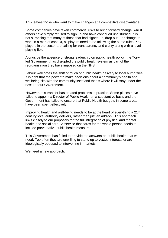This leaves those who want to make changes at a competitive disadvantage.

Some companies have taken commercial risks to bring forward change, whilst others have simply refused to sign up and have continued undisturbed. It is not surprising that many of those that had signed up, drop out. For change to work in a market context, all players need to be following the same rules. Key players in the sector are calling for transparency and clarity along with a level playing field.

Alongside the absence of strong leadership on public health policy, the Toryled Government has disrupted the public health system as part of the reorganisation they have imposed on the NHS.

Labour welcomes the shift of much of public health delivery to local authorities. It is right that the power to make decisions about a community's health and wellbeing sits with the community itself and that is where it will stay under the next Labour Government.

However, this transfer has created problems in practice. Some places have failed to appoint a Director of Public Health on a substantive basis and the Government has failed to ensure that Public Health budgets in some areas have been spent effectively.

Improving health and well-being needs to be at the heart of everything a 21<sup>st</sup> century local authority delivers, rather than just an add-on. This approach links closely to our proposals for the full integration of physical and mental health and social care. A service that cares for the whole person needs to include preventative public health measures.

This Government has failed to provide the answers on public health that we need. Too often they are unwilling to stand up to vested interests or are ideologically opposed to intervening in markets.

We need a new approach.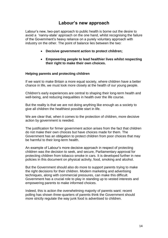# **Labour's new approach**

<span id="page-14-0"></span>Labour's new, two-part approach to public health is borne out the desire to avoid a 'nanny-state' approach on the one hand, whilst recognising the failure of the Government's heavy reliance on a purely voluntary approach with industry on the other. The point of balance lies between the two:

- **Decisive government action to protect children;**
- **Empowering people to lead healthier lives whilst respecting their right to make their own choices.**

#### **Helping parents and protecting children**

If we want to make Britain a more equal society, where children have a better chance in life, we must look more closely at the health of our young people.

Children's early experiences are central to shaping their long-term health and well-being, and reducing inequalities in health over the life course.

But the reality is that we are not doing anything like enough as a society to give all children the healthiest possible start in life.

We are clear that, when it comes to the protection of children, more decisive action by government is needed.

The justification for firmer government action arises from the fact that children do not make their own choices but have choices made for them. The Government has an obligation to protect children from poor choices that may be harmful to their long-term health.

An example of Labour's more decisive approach in respect of protecting children was the decision to seek, and secure, Parliamentary approval for protecting children from tobacco smoke in cars. It is developed further in new policies in this document on physical activity, food, smoking and alcohol.

But the Government should also do more to support parents trying to make the right decisions for their children. Modern marketing and advertising techniques, along with commercial pressures, can make this difficult. Government has a crucial role to play in standing up to vested interests and empowering parents to make informed choices.

Indeed, this is action the overwhelming majority of parents want: recent polling has shown three-quarters of parents think the Government should more strictly regulate the way junk food is advertised to children.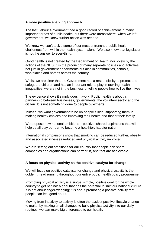#### **A more positive enabling approach**

The last Labour Government had a good record of achievement in many important areas of public health, but there were areas where, when we left government, we knew further action was needed.

We know we can't tackle some of our most entrenched public health challenges from within the health system alone. We also know that legislation is not the answer to everything.

Good health is not created by the Department of Health, nor solely by the actions of the NHS. It is the product of many separate policies and activities, not just in government departments but also in communities, schools, workplaces and homes across the country.

Whilst we are clear that the Government has a responsibility to protect and safeguard children and has an important role to play in tackling health inequalities, we are not in the business of telling people how to live their lives.

The evidence shows it simply doesn't work. Public health is about a partnership between businesses, governments, the voluntary sector and the citizen. It is not something done *to* people *by* experts.

Instead, we want government to be on people's side, supporting them in making healthy choices and improving their health and that of their family.

We propose new national ambitions – positive, shared aspirations that will help us all play our part to become a healthier, happier nation.

International comparisons show that smoking can be reduced further, obesity and associated illnesses reduced and physical activity improved.

We are setting out ambitions for our country that people can share, companies and organisations can partner in, and that are achievable.

#### **A focus on physical activity as the positive catalyst for change**

We will focus on positive catalysts for change and physical activity is the golden thread running throughout our entire public health policy programme.

Promoting physical activity is a single, simple, positive goal for the whole country to get behind: a goal that has the potential to shift our national culture. It is not about finger-wagging; it is about promoting a positive activity that people can feel good about.

Moving from inactivity to activity is often the easiest positive lifestyle change to make, by making small changes to build physical activity into our daily routines, we can make big differences to our health.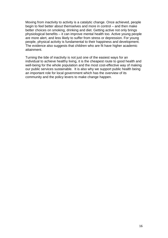Moving from inactivity to activity is a catalytic change. Once achieved, people begin to feel better about themselves and more in control – and then make better choices on smoking, drinking and diet. Getting active not only brings physiological benefits – it can improve mental health too. Active young people are more alert, and less likely to suffer from stress or depression. For young people, physical activity is fundamental to their happiness and development. The evidence also suggests that children who are fit have higher academic attainment.

Turning the tide of inactivity is not just one of the easiest ways for an individual to achieve healthy living, it is the cheapest route to good health and well-being for the whole population and the most cost-effective way of making our public services sustainable. It is also why we support public health being an important role for local government which has the overview of its community and the policy levers to make change happen.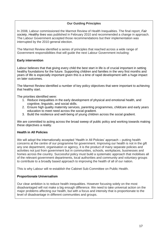#### **Our Guiding Principles**

In 2008, Labour commissioned the Marmot Review of Health Inequalities. The final report, *[Fair](http://www.instituteofhealthequity.org/projects/fair-society-healthy-lives-the-marmot-review)  [society, Healthy lives](http://www.instituteofhealthequity.org/projects/fair-society-healthy-lives-the-marmot-review)* was published in February 2010 and recommended a change in approach. The Labour Government accepted those recommendations but their implementation was interrupted by the 2010 general election.

The Marmot Review identified a series of principles that reached across a wide range of Government responsibilities that will guide the next Labour Government including:

#### **Early intervention**

Labour believes that that giving every child the best start in life is of crucial important in setting healthy foundations for the future. Supporting children and families in the very first months and years of life is especially important given this is a time of rapid development with a huge impact on later outcomes.

The Marmot Review identified a number of key policy objectives that were important to achieving that healthy start.

The priorities identified were:

- 1. Reduce inequalities in the early development of physical and emotional health, and cognitive, linguistic, and social skills.
- 2. Ensure high quality maternity services, parenting programmes, childcare and early years education to meet need across the social gradient.
- 3. Build the resilience and well-being of young children across the social gradient.

We are committed to acting across the broad sweep of public policy and working towards making these objectives a reality.

#### **Health in All Policies**

We will adopt the internationally accepted 'Health in All Policies' approach – putting health concerns at the centre of our programme for government. Improving our health is not in the gift any one department, organisation or agency, it is the product of many separate policies and activities not just from government but in communities, schools, workplaces, businesses and homes across the country. Successful policy must build a systematic approach that mobilises all of the relevant government departments, local authorities and community and voluntary groups to contribute to a broadly based approach to improving the health of all of our nation.

This is why Labour will re-establish the Cabinet Sub-Committee on Public Health.

#### **Proportionate Universalism**

Our clear ambition is to reduce health inequalities. However focusing solely on the most disadvantaged will not make a big enough difference. We need to take universal action on the major problems affecting our health, but with a focus and intensity that is proportionate to the level of disadvantage in different communities and groups.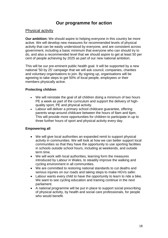# **Our programme for action**

### <span id="page-18-1"></span><span id="page-18-0"></span>Physical activity

**Our ambition:** We should aspire to helping everyone in this country be more active. We will develop new measures for recommended levels of physical activity that can be easily understood by everyone, and are consistent across government, including a basic minimum that everyone who can should try to do, and also a recommended level that we should aspire to get at least 50 per cent of people achieving by 2025 as part of our new national ambition.

This will be our pre-eminent public health goal. It will be supported by a new national '50 by 25' campaign that we will ask council, companies, charities and voluntary organisations to join. By signing up, organisations will be agreeing to take steps to get 50% of local people, employees or their members physically active.

#### **Protecting children**

- We will reinstate the goal of all children doing a minimum of two hours PE a week as part of the curriculum and support the delivery of highquality sport, PE and physical activity.
- Labour will deliver a primary school childcare guarantee, offering parents wrap-around childcare between the hours of 8am and 6pm. This will provide more opportunities for children to participate in up to three further hours of sport and physical activity every day.

#### **Empowering all**

- We will give local authorities an expanded remit to support physical activity in communities. We will look at how we can better support local communities so that they have the opportunity to use sporting facilities in schools outside school hours, including at weekends, and outside term time.
- We will work with local authorities, learning form the measures introduced by Labour in Wales, to steadily improve the walking and cycling environment in all communities.
- We are committed to restoring national standards to cut deaths and serious injuries on our roads and taking steps to make HGVs safer.
- Labour wants every child to have the opportunity to learn to ride a bike. We want to see cycling education and training continue in the next parliament.
- A national programme will be put in place to support social prescribing of physical activity, by health and social care professionals, for people who would benefit.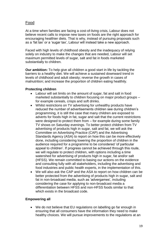## <span id="page-19-0"></span>Food

At a time when families are facing a cost-of-living crisis, Labour does not believe recent calls to impose new taxes on foods are the right approach for encouraging healthier diets. That is why, instead of pursuing proposals such as a 'fat tax' or a 'sugar tax', Labour will instead take a new approach.

Faced with high levels of childhood obesity and the inadequacy of relying solely on industry to make the changes that are needed, Labour will set maximum permitted levels of sugar, salt and fat in foods marketed substantially to children.

**Our ambition:** To help give all children a good start in life by tackling the barriers to a healthy diet. We will achieve a sustained downward trend in levels of childhood and adult obesity; reverse the growth in cases of malnutrition; and increase the proportion of children eating healthily.

#### **Protecting children**

- Labour will set limits on the amount of sugar, fat and salt in food marketed substantially to children focusing on major product groups – for example cereals, crisps and soft drinks.
- Whilst restrictions on TV advertising for unhealthy products have reduced the number of advertisements children see during children's programming, it is still the case that many children are exposed to adverts for foods high in fat, sugar and salt that the current restrictions were designed to protect them from – for example during some family TV shows on Saturday evenings. To better protect children from TV advertising of products high in sugar, salt and fat, we will ask the Committee on Advertising Practice (CAP) and the Advertising Standards Agency (ASA) to report on how this can be more effectively done, including considering lowering the proportion of children in the audience required for a programme to be considered 'of particular appeal to children'. If progress cannot be achieved through this route, we will regulate to protect children, with options including a time watershed for advertising of products high in sugar, fat and/or salt (HFSS). We remain committed to basing our actions on the evidence and consulting fully with all stakeholders, including the advertising and food industries and public health experts, in the implementation of this.
- We will also ask the CAP and the ASA to report on how children can be better protected from the advertising of products high in sugar, salt and fat in non-broadcast media, such as 'advergames', including considering the case for applying to non-broadcast media a differentiation between HFSS and non-HFSS foods similar to that which exists in the broadcast code.

#### **Empowering all**

• We do not believe that EU regulations on labelling go far enough in ensuring that all consumers have the information they need to make healthy choices. We will pursue improvements to the regulations at an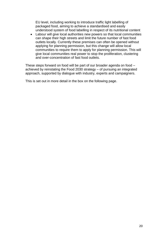EU level, including working to introduce traffic light labelling of packaged food, aiming to achieve a standardised and easily understood system of food labelling in respect of its nutritional content

 Labour will give local authorities new powers so that local communities can shape their high streets and limit the future number of fast food outlets locally. Currently these premises can often be opened without applying for planning permission, but this change will allow local communities to require them to apply for planning permission. This will give local communities real power to stop the proliferation, clustering and over-concentration of fast food outlets.

These steps forward on food will be part of our broader agenda on food – achieved by reinstating the Food 2030 strategy – of pursuing an integrated approach, supported by dialogue with industry, experts and campaigners.

This is set out in more detail in the box on the following page.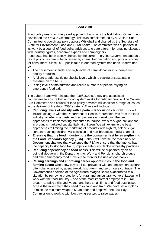#### **Food 2030**

Food policy needs an integrated approach that is why the last Labour Government developed the *Food 2030* strategy. This was complemented by a Cabinet Sub-Committee to coordinate policy across Whitehall and chaired by the Secretary of State for Environment, Food and Rural Affairs. The committee was supported in its work by a council of food policy advisors to create a forum for ongoing dialogue with industry figures, academic experts and campaigners.

Food 2030 has been quietly shelved by the current Tory-led Government and as a result policy has been characterised by chaos, fragmentation and poor outcomes for consumers. Since 2010 public faith in our food system has been undermined by:

- The horsemeat scandal and high levels of campylobacter in supermarket poultry products,
- A failure to address rising obesity levels which is placing unsustainable pressure on the NHS,
- Rising levels of malnutrition and record numbers of people relying on emergency food aid.

The Labour Party will reinstate the *Food 2030* strategy and associated committees to ensure that our food system works for ordinary people. The Cabinet Sub-Committee and council of food policy advisors will consider a range of issues in the delivery of the *Food 2030* strategy*.* These will include:

- **Reducing levels of obesity with a particular focus on children**. This will include dialogue with the Department of Health, representatives from the food industry, academic experts and campaigners on developing the best approaches to implementing measures to reduce levels of sugar, salt and fat in products marketed substantially at children. We will examine the best approaches to limiting the marketing of products with high fat, salt or sugar content reaching children via television and non-broadcast media channels.
- **Ensuring that the food industry puts the consumer first by strengthening the Food Standards Agency (FSA)**. Labour will reverse the machinery of Government changes that weakened the FSA to ensure that the agency has the capacity to stop food fraud, improve safety and tackle unhealthy practices.
- **Reducing dependency on food banks**. This will be supported by an ongoing dialogue with the Department for Work and Pensions, church groups and other emergency food providers to monitor the use of food banks.
- **Raising earnings and improving career opportunities in the food and farming sector** where low pay is all-too prevalent with an employment culture often characterised by agency-work, short-term and zero-hours contracts. The Government's abolition of the Agricultural Wages Board exacerbated this situation by removing protections for rural and agricultural workers. Labour will work with the food industry – one of the most important employers in rural areas – to raise skills and wages, and help small firms and food businesses access the investment they need to expand and train. We have set out plans to raise the minimum wage to £8 an hour and empower the Low Pay Commission to work to with low paying sectors to raise wages.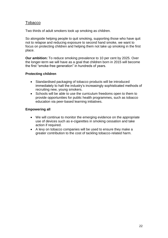## <span id="page-22-0"></span>Tobacco

Two thirds of adult smokers took up smoking as children.

So alongside helping people to quit smoking, supporting those who have quit not to relapse and reducing exposure to second hand smoke, we want to focus on protecting children and helping them not take up smoking in the first place.

**Our ambition:** To reduce smoking prevalence to 10 per cent by 2025. Over the longer-term we will have as a goal that children born in 2015 will become the first "smoke-free generation" in hundreds of years.

#### **Protecting children**

- Standardised packaging of tobacco products will be introduced immediately to halt the industry's increasingly sophisticated methods of recruiting new, young smokers.
- Schools will be able to use the curriculum freedoms open to them to provide opportunities for public health programmes, such as tobacco education via peer-based learning initiatives.

#### **Empowering all**

- We will continue to monitor the emerging evidence on the appropriate use of devices such as e-cigarettes in smoking cessation and take action if required.
- A levy on tobacco companies will be used to ensure they make a greater contribution to the cost of tackling tobacco-related harm.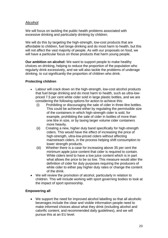## <span id="page-23-0"></span>Alcohol

We will focus on tackling the public health problems associated with excessive drinking and particularly drinking by children.

We will do this by targeting the high-strength, low-cost products that are affordable to children, fuel binge drinking and do most harm to health, but this will not affect the vast majority of people. As with our proposals on food, we will have a particular focus on those products that harm young people.

**Our ambition on alcohol:** We want to support people to make healthy choices on drinking, helping to reduce the proportion of the population who regularly drink excessively, and we will also tackle the problems of underage drinking, to cut significantly the proportion of children who drink.

#### **Protecting children**

- Labour will crack down on the high-strength, low-cost alcohol products that fuel binge drinking and do most harm to health, such as ultra-lowpriced 7.5 per cent white cider sold in large plastic bottles, and we are considering the following options for action to achieve this:
	- (i) Prohibiting or discouraging the sale of cider in three-litre bottles. This could be achieved either by regulating the permissible size of the containers in which high-strength cider is sold, for example, prohibiting the sale of cider in bottles of more than one litre in size, or by taxing larger volume cider containers more heavily.
	- (ii) Creating a new, higher duty band specifically for high-strength ciders. This would have the effect of increasing the price of high-strength, ultra-low-priced ciders without affecting mainstream ciders, in the process helping shift consumption to lower strength products.
	- (iii) Whether there is a case for increasing above 35 per cent the minimum apple juice content that cider is required to contain. White ciders tend to have a low juice content which is in part what allows the price to be so low. This measure would alter the definition of cider for duty purposes requiring the producers of white cider to either pay higher duty rates or change the content of the drink.
- We will review the promotion of alcohol, particularly in relation to children. This will include working with sport governing bodies to look at the impact of sport sponsorship.

#### **Empowering all**

 We support the need for improved alcohol labelling so that all alcoholic beverages include the clear and visible information people need to make informed choices about what they drink (including alcohol and calorific content, and recommended daily guidelines), and we will pursue this at an EU level.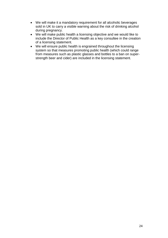- We will make it a mandatory requirement for all alcoholic beverages sold in UK to carry a visible warning about the risk of drinking alcohol during pregnancy.
- We will make public health a licensing objective and we would like to include the Director of Public Health as a key consultee in the creation of a licensing statement.
- We will ensure public health is engrained throughout the licensing system so that measures promoting public health (which could range from measures such as plastic glasses and bottles to a ban on superstrength beer and cider) are included in the licensing statement.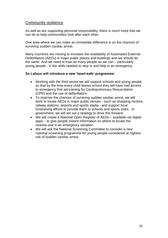## <span id="page-25-0"></span>Community resilience

As well as are supporting personal responsibility, there is much more that we can do to help communities look after each other.

One area where we can make an immediate difference is on the chances of surviving sudden cardiac arrest.

Many countries are moving to increase the availability of Automated External Defibrillators (AEDs) in major public places and buildings and we should do the same. And we need to train as many people as we can – particularly young people - in the skills needed to step in and help in an emergency.

#### **So Labour will introduce a new 'heart-safe' programme:**

- Working with the third sector we will support schools and young people so that by the time every child leaves school they will have had access to emergency first aid training for Cardiopulmonary Resuscitation (CPR) and the use of defibrillators.
- To improve the chances of surviving sudden cardiac arrest, we will work to locate AEDs in major public venues - such as shopping centres, railway stations, airports and sports stadia - and support local fundraising efforts to provide them to schools and sports clubs. In government, we will set out a strategy to drive this forward.
- We will create a National Open Register of AEDs available via digital apps – to give people instant information on where to locate the nearest one in an emergency situation.
- We will ask the National Screening Committee to consider a new national screening programme for young people considered at highest risk of sudden cardiac arrest.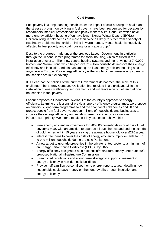#### **Cold Homes**

Fuel poverty is a long-standing health issue: the impact of cold housing on health and the stresses brought on by living in fuel poverty have been recognised for decades by researchers, medical professionals and policy makers alike. Countries which have more energy efficient housing often have lower Excess Winter Deaths (EWDs). Children living in cold homes are more than twice as likely to suffer from a variety of respiratory problems than children living in warm homes. Mental health is negatively affected by fuel poverty and cold housing for any age group.<sup>1</sup>

Despite the progress made under the previous Labour Government, in particular through the Decent Homes programme for social housing, which resulted in the installation of over 1 million new central heating systems and the re-wiring of 740,000 homes, and Warm Front, which helped over 2 million households improve their energy efficiency and insulation, Britain has among the least energy efficient housing stock anywhere in Europe. Poor energy efficiency is the single biggest reason why so many households are in fuel poverty.

It is clear that the policies of the current Government do not meet the scale of this challenge. The Energy Company Obligation has resulted in a significant fall in the installation of energy efficiency improvements and will leave nine out of ten fuel poor households in fuel poverty.

Labour proposes a fundamental overhaul of the country's approach to energy efficiency. Learning the lessons of previous energy efficiency programmes, we propose an ambitious, long-term programme to end the scandal of cold homes and lift and protect people from fuel poverty, support millions of households and businesses to improve their energy efficiency and establish energy efficiency as a national infrastructure priority. We intend to take six key actions to achieve this:

- Free energy efficient improvements for 200,000 households in or at risk of fuel poverty a year, with an ambition to upgrade all such homes and end the scandal of cold homes within 15 years, saving the average household over £270 a year.
- Interest free loans to cover the costs of energy efficiency improvements for up to one million households during the next Parliament.
- A new target to upgrade properties in the private rented sector to a minimum of an Energy Performance Certificate (EPC) C by 2027.
- Energy efficiency designated as a national infrastructure priority under Labour's proposed National Infrastructure Commission.
- Streamlined regulations and a long-term strategy to support investment in energy efficiency in non-domestic buildings.
- Provide half a million personalised home energy reports a year, detailing how households could save money on their energy bills through insulation and energy efficiency.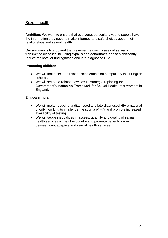## <span id="page-27-0"></span>Sexual health

**Ambition:** We want to ensure that everyone, particularly young people have the information they need to make informed and safe choices about their relationships and sexual health.

Our ambition is to stop and then reverse the rise in cases of sexually transmitted diseases including syphilis and gonorrhoea and to significantly reduce the level of undiagnosed and late-diagnosed HIV.

#### **Protecting children**

- We will make sex and relationships education compulsory in all English schools.
- We will set out a robust, new sexual strategy, replacing the Government's ineffective Framework for Sexual Health Improvement in England.

#### **Empowering all**

- We will make reducing undiagnosed and late-diagnosed HIV a national priority, working to challenge the stigma of HIV and promote increased availability of testing.
- We will tackle inequalities in access, quantity and quality of sexual health services across the country and promote better linkages between contraceptive and sexual health services.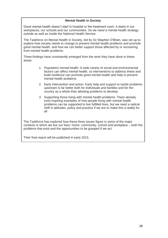#### **Mental Health in Society**

Good mental health doesn't start in hospital or the treatment room; it starts in our workplaces, our schools and our communities. So we need a mental health strategy outside as well as inside the National Health Service.

The Taskforce on Mental Health in Society, led by Sir Stephen O'Brien, was set up to explore how society needs to change to prevent mental health problems and promote good mental health, and how we can better support those affected by or recovering from mental health problems.

Three findings have consistently emerged from the work they have done in these areas:

- 1. Population mental health: A wide variety of social and environmental factors can affect mental health, so interventions to address these and build resilience can promote good mental health and help to prevent mental health problems
- 2. Early Intervention and action. Early help and support to tackle problems upstream is far better both for individuals and families and for the country as a whole than allowing problems to develop
- 3. Supporting those living with mental health problems: There already exist inspiring examples of how people living with mental health problems can be supported to live fulfilled lives, but we need a radical shift in attitudes, policy and practice if we are to make this a reality for all

The Taskforce has explored how these three issues figure in some of the major contexts in which we live our lives: home, community, school and workplace – both the problems that exist and the opportunities to be grasped if we act.

Their final report will be published in early 2015.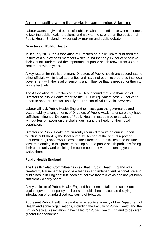## <span id="page-29-0"></span>A public health system that works for communities & families

Labour wants to give Directors of Public Health more influence when it comes to tackling public health problems and we want to strengthen the position of Public Health England in wider policy-making and public debate.

#### **Directors of Public Health**

In January 2013, the Association of Directors of Public Health published the results of a survey of its members which found that only 17 per cent believe their Council understood the importance of public health (down from 33 per cent the previous year).

A key reason for this is that many Directors of Public health are subordinate to other officials within local authorities and have not been incorporated into local government with the level of seniority and influence that is needed for them to work effectively.

The Association of Directors of Public Health found that less than half of Directors of Public Health report to the CEO or equivalent post. 20 per cent report to another Director, usually the Director of Adult Social Services.

Labour will ask Public Health England to investigate the governance and accountability arrangements of Directors of Public Health to ensure they have sufficient influence. Directors of Public Health must be free to speak out without fear or favour on the challenges facing the health of their local population.

Directors of Public Health are currently required to write an annual report, which is published by the local authority. As part of the annual reporting requirements, Labour would expect the Director of Public Health to include forward planning in this process, setting out the public health problems facing their community and outlining the action needed over the coming year to tackle them.

#### **Public Health England**

The Health Select Committee has said that: 'Public Heath England was created by Parliament to provide a fearless and independent national voice for public health in England' but 'does not believe that this voice has not yet been sufficiently clearly heard.'

A key criticism of Public Health England has been its failure to speak out against government policy decisions on public health, such as delaying the introduction of standardised packaging of tobacco.

At present Public Health England is an executive agency of the Department of Health and some organisations, including the Faculty of Public Health and the British Medical Association, have called for Public Health England to be given greater independence.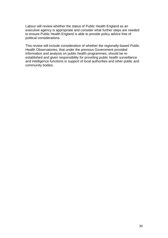Labour will review whether the status of Public Health England as an executive agency is appropriate and consider what further steps are needed to ensure Public Health England is able to provide policy advice free of political considerations.

This review will include consideration of whether the regionally-based Public Health Observatories, that under the previous Government provided information and analysis on public health programmes, should be reestablished and given responsibility for providing public health surveillance and intelligence functions in support of local authorities and other public and community bodies.